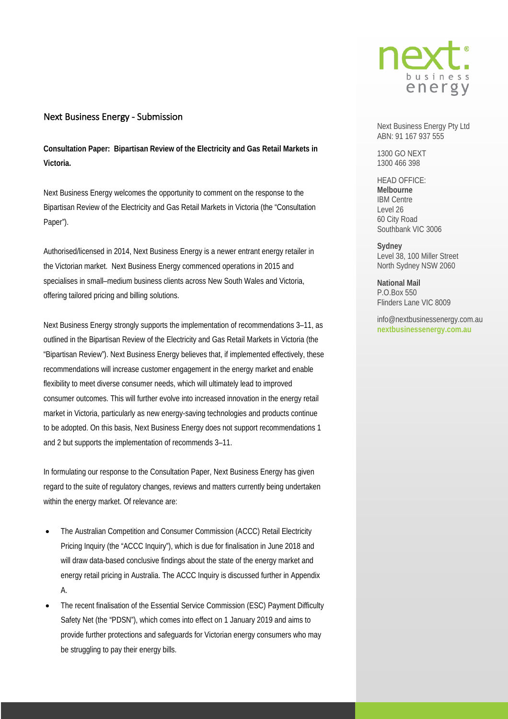

## Next Business Energy - Submission

**Consultation Paper: Bipartisan Review of the Electricity and Gas Retail Markets in Victoria.** 

Next Business Energy welcomes the opportunity to comment on the response to the Bipartisan Review of the Electricity and Gas Retail Markets in Victoria (the "Consultation Paper").

Authorised/licensed in 2014, Next Business Energy is a newer entrant energy retailer in the Victorian market. Next Business Energy commenced operations in 2015 and specialises in small–medium business clients across New South Wales and Victoria, offering tailored pricing and billing solutions.

Next Business Energy strongly supports the implementation of recommendations 3–11, as outlined in the Bipartisan Review of the Electricity and Gas Retail Markets in Victoria (the "Bipartisan Review"). Next Business Energy believes that, if implemented effectively, these recommendations will increase customer engagement in the energy market and enable flexibility to meet diverse consumer needs, which will ultimately lead to improved consumer outcomes. This will further evolve into increased innovation in the energy retail market in Victoria, particularly as new energy-saving technologies and products continue to be adopted. On this basis, Next Business Energy does not support recommendations 1 and 2 but supports the implementation of recommends 3–11.

In formulating our response to the Consultation Paper, Next Business Energy has given regard to the suite of regulatory changes, reviews and matters currently being undertaken within the energy market. Of relevance are:

- The Australian Competition and Consumer Commission (ACCC) Retail Electricity Pricing Inquiry (the "ACCC Inquiry"), which is due for finalisation in June 2018 and will draw data-based conclusive findings about the state of the energy market and energy retail pricing in Australia. The ACCC Inquiry is discussed further in Appendix A.
- The recent finalisation of the Essential Service Commission (ESC) Payment Difficulty Safety Net (the "PDSN"), which comes into effect on 1 January 2019 and aims to provide further protections and safeguards for Victorian energy consumers who may be struggling to pay their energy bills.

Next Business Energy Pty Ltd ABN: 91 167 937 555

1300 GO NEXT 1300 466 398

HEAD OFFICE: **Melbourne** IBM Centre Level 26 60 City Road Southbank VIC 3006

**Sydney** Level 38, 100 Miller Street North Sydney NSW 2060

**National Mail**  P.O.Box 550 Flinders Lane VIC 8009

info@nextbusinessenergy.com.au **nextbusinessenergy.com.au**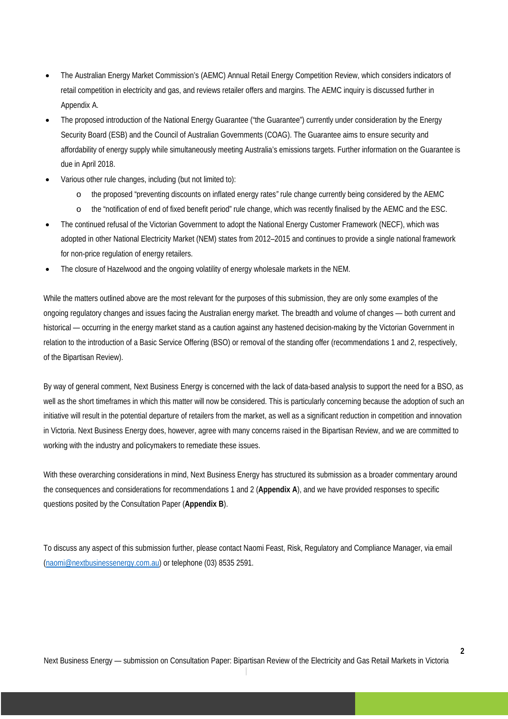- The Australian Energy Market Commission's (AEMC) Annual Retail Energy Competition Review, which considers indicators of retail competition in electricity and gas, and reviews retailer offers and margins. The AEMC inquiry is discussed further in Appendix A.
- The proposed introduction of the National Energy Guarantee ("the Guarantee") currently under consideration by the Energy Security Board (ESB) and the Council of Australian Governments (COAG). The Guarantee aims to ensure security and affordability of energy supply while simultaneously meeting Australia's emissions targets. Further information on the Guarantee is due in April 2018.
- Various other rule changes, including (but not limited to):
	- o the proposed "preventing discounts on inflated energy rates*"* rule change currently being considered by the AEMC
	- o the "notification of end of fixed benefit period" rule change, which was recently finalised by the AEMC and the ESC.
- The continued refusal of the Victorian Government to adopt the National Energy Customer Framework (NECF), which was adopted in other National Electricity Market (NEM) states from 2012–2015 and continues to provide a single national framework for non-price regulation of energy retailers.
- The closure of Hazelwood and the ongoing volatility of energy wholesale markets in the NEM.

While the matters outlined above are the most relevant for the purposes of this submission, they are only some examples of the ongoing regulatory changes and issues facing the Australian energy market. The breadth and volume of changes — both current and historical — occurring in the energy market stand as a caution against any hastened decision-making by the Victorian Government in relation to the introduction of a Basic Service Offering (BSO) or removal of the standing offer (recommendations 1 and 2, respectively, of the Bipartisan Review).

By way of general comment, Next Business Energy is concerned with the lack of data-based analysis to support the need for a BSO, as well as the short timeframes in which this matter will now be considered. This is particularly concerning because the adoption of such an initiative will result in the potential departure of retailers from the market, as well as a significant reduction in competition and innovation in Victoria. Next Business Energy does, however, agree with many concerns raised in the Bipartisan Review, and we are committed to working with the industry and policymakers to remediate these issues.

With these overarching considerations in mind, Next Business Energy has structured its submission as a broader commentary around the consequences and considerations for recommendations 1 and 2 (**Appendix A**), and we have provided responses to specific questions posited by the Consultation Paper (**Appendix B**).

To discuss any aspect of this submission further, please contact Naomi Feast, Risk, Regulatory and Compliance Manager, via email [\(naomi@nextbusinessenergy.com.au\)](mailto:naomi@nextbusinessenergy.com.au) or telephone (03) 8535 2591.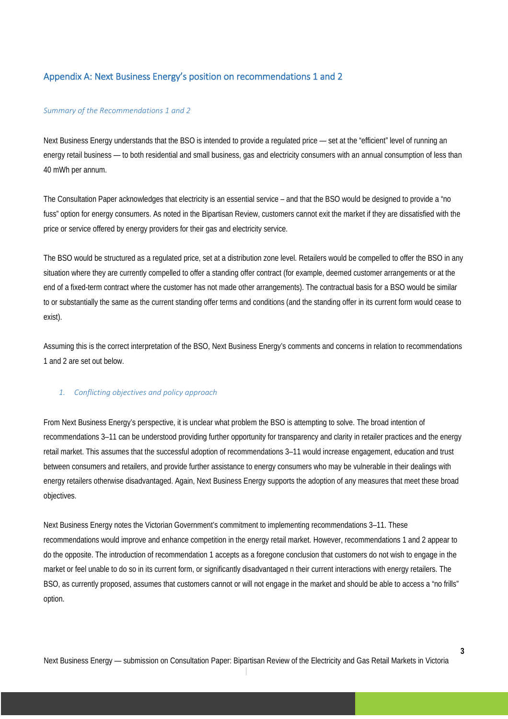# Appendix A: Next Business Energy's position on recommendations 1 and 2

### *Summary of the Recommendations 1 and 2*

Next Business Energy understands that the BSO is intended to provide a regulated price — set at the "efficient" level of running an energy retail business — to both residential and small business, gas and electricity consumers with an annual consumption of less than 40 mWh per annum.

The Consultation Paper acknowledges that electricity is an essential service – and that the BSO would be designed to provide a "no fuss" option for energy consumers. As noted in the Bipartisan Review, customers cannot exit the market if they are dissatisfied with the price or service offered by energy providers for their gas and electricity service.

The BSO would be structured as a regulated price, set at a distribution zone level. Retailers would be compelled to offer the BSO in any situation where they are currently compelled to offer a standing offer contract (for example, deemed customer arrangements or at the end of a fixed-term contract where the customer has not made other arrangements). The contractual basis for a BSO would be similar to or substantially the same as the current standing offer terms and conditions (and the standing offer in its current form would cease to exist).

Assuming this is the correct interpretation of the BSO, Next Business Energy's comments and concerns in relation to recommendations 1 and 2 are set out below.

### *1. Conflicting objectives and policy approach*

From Next Business Energy's perspective, it is unclear what problem the BSO is attempting to solve. The broad intention of recommendations 3–11 can be understood providing further opportunity for transparency and clarity in retailer practices and the energy retail market. This assumes that the successful adoption of recommendations 3–11 would increase engagement, education and trust between consumers and retailers, and provide further assistance to energy consumers who may be vulnerable in their dealings with energy retailers otherwise disadvantaged. Again, Next Business Energy supports the adoption of any measures that meet these broad objectives.

Next Business Energy notes the Victorian Government's commitment to implementing recommendations 3–11. These recommendations would improve and enhance competition in the energy retail market. However, recommendations 1 and 2 appear to do the opposite. The introduction of recommendation 1 accepts as a foregone conclusion that customers do not wish to engage in the market or feel unable to do so in its current form, or significantly disadvantaged n their current interactions with energy retailers. The BSO, as currently proposed, assumes that customers cannot or will not engage in the market and should be able to access a "no frills" option.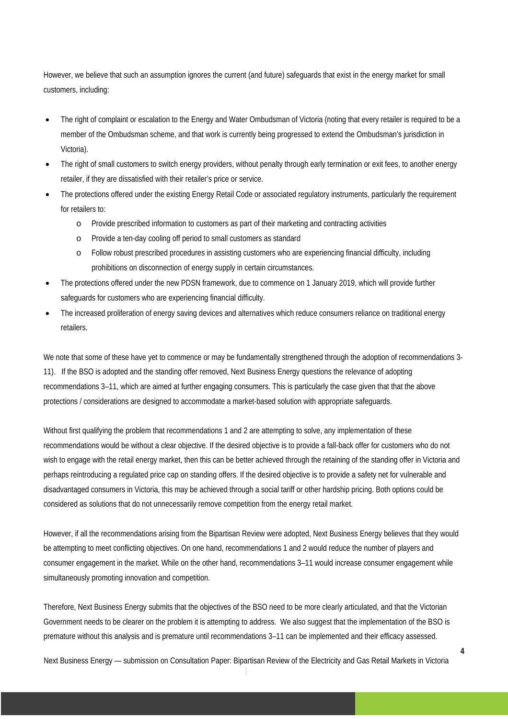However, we believe that such an assumption ignores the current (and future) safeguards that exist in the energy market for small customers, including:

- The right of complaint or escalation to the Energy and Water Ombudsman of Victoria (noting that every retailer is required to be a member of the Ombudsman scheme, and that work is currently being progressed to extend the Ombudsman's jurisdiction in Victoria).
- The right of small customers to switch energy providers, without penalty through early termination or exit fees, to another energy retailer, if they are dissatisfied with their retailer's price or service.
- The protections offered under the existing Energy Retail Code or associated regulatory instruments, particularly the requirement for retailers to:
	- o Provide prescribed information to customers as part of their marketing and contracting activities
	- o Provide a ten-day cooling off period to small customers as standard
	- o Follow robust prescribed procedures in assisting customers who are experiencing financial difficulty, including prohibitions on disconnection of energy supply in certain circumstances.
- The protections offered under the new PDSN framework, due to commence on 1 January 2019, which will provide further safeguards for customers who are experiencing financial difficulty.
- The increased proliferation of energy saving devices and alternatives which reduce consumers reliance on traditional energy retailers.

We note that some of these have yet to commence or may be fundamentally strengthened through the adoption of recommendations 3- 11). If the BSO is adopted and the standing offer removed, Next Business Energy questions the relevance of adopting recommendations 3–11, which are aimed at further engaging consumers. This is particularly the case given that that the above protections / considerations are designed to accommodate a market-based solution with appropriate safeguards.

Without first qualifying the problem that recommendations 1 and 2 are attempting to solve, any implementation of these recommendations would be without a clear objective. If the desired objective is to provide a fall-back offer for customers who do not wish to engage with the retail energy market, then this can be better achieved through the retaining of the standing offer in Victoria and perhaps reintroducing a regulated price cap on standing offers. If the desired objective is to provide a safety net for vulnerable and disadvantaged consumers in Victoria, this may be achieved through a social tariff or other hardship pricing. Both options could be considered as solutions that do not unnecessarily remove competition from the energy retail market.

However, if all the recommendations arising from the Bipartisan Review were adopted, Next Business Energy believes that they would be attempting to meet conflicting objectives. On one hand, recommendations 1 and 2 would reduce the number of players and consumer engagement in the market. While on the other hand, recommendations 3–11 would increase consumer engagement while simultaneously promoting innovation and competition.

Therefore, Next Business Energy submits that the objectives of the BSO need to be more clearly articulated, and that the Victorian Government needs to be clearer on the problem it is attempting to address. We also suggest that the implementation of the BSO is premature without this analysis and is premature until recommendations 3–11 can be implemented and their efficacy assessed.

Next Business Energy — submission on Consultation Paper: Bipartisan Review of the Electricity and Gas Retail Markets in Victoria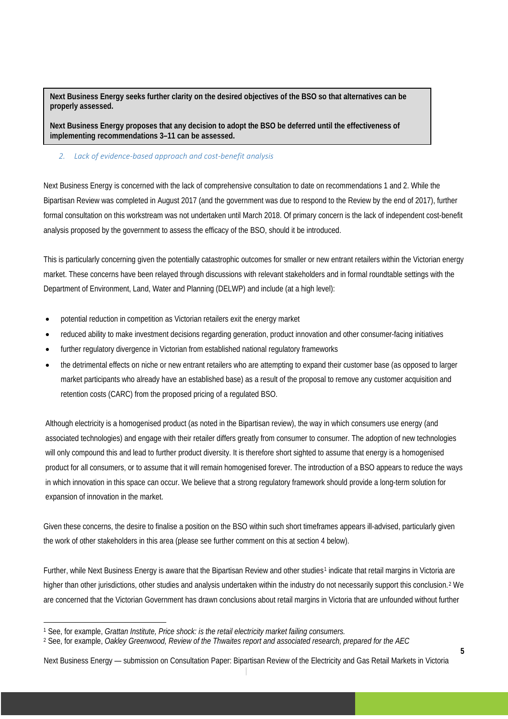**Next Business Energy seeks further clarity on the desired objectives of the BSO so that alternatives can be properly assessed.** 

**Next Business Energy proposes that any decision to adopt the BSO be deferred until the effectiveness of implementing recommendations 3–11 can be assessed.** 

## *2. Lack of evidence-based approach and cost-benefit analysis*

Next Business Energy is concerned with the lack of comprehensive consultation to date on recommendations 1 and 2. While the Bipartisan Review was completed in August 2017 (and the government was due to respond to the Review by the end of 2017), further formal consultation on this workstream was not undertaken until March 2018. Of primary concern is the lack of independent cost-benefit analysis proposed by the government to assess the efficacy of the BSO, should it be introduced.

This is particularly concerning given the potentially catastrophic outcomes for smaller or new entrant retailers within the Victorian energy market. These concerns have been relayed through discussions with relevant stakeholders and in formal roundtable settings with the Department of Environment, Land, Water and Planning (DELWP) and include (at a high level):

- potential reduction in competition as Victorian retailers exit the energy market
- reduced ability to make investment decisions regarding generation, product innovation and other consumer-facing initiatives
- further regulatory divergence in Victorian from established national regulatory frameworks
- the detrimental effects on niche or new entrant retailers who are attempting to expand their customer base (as opposed to larger market participants who already have an established base) as a result of the proposal to remove any customer acquisition and retention costs (CARC) from the proposed pricing of a regulated BSO.

Although electricity is a homogenised product (as noted in the Bipartisan review), the way in which consumers use energy (and associated technologies) and engage with their retailer differs greatly from consumer to consumer. The adoption of new technologies will only compound this and lead to further product diversity. It is therefore short sighted to assume that energy is a homogenised product for all consumers, or to assume that it will remain homogenised forever. The introduction of a BSO appears to reduce the ways in which innovation in this space can occur. We believe that a strong regulatory framework should provide a long-term solution for expansion of innovation in the market.

Given these concerns, the desire to finalise a position on the BSO within such short timeframes appears ill-advised, particularly given the work of other stakeholders in this area (please see further comment on this at section 4 below).

Further, while Next Business Energy is aware that the Bipartisan Review and other studies<sup>[1](#page-4-0)</sup> indicate that retail margins in Victoria are higher than other jurisdictions, other studies and analysis undertaken within the industry do not necessarily support this conclusion.<sup>[2](#page-4-1)</sup> We are concerned that the Victorian Government has drawn conclusions about retail margins in Victoria that are unfounded without further

<span id="page-4-0"></span> <sup>1</sup> See, for example, *Grattan Institute, Price shock: is the retail electricity market failing consumers.* 

<span id="page-4-1"></span><sup>2</sup> See, for example, *Oakley Greenwood, Review of the Thwaites report and associated research, prepared for the AEC*

Next Business Energy — submission on Consultation Paper: Bipartisan Review of the Electricity and Gas Retail Markets in Victoria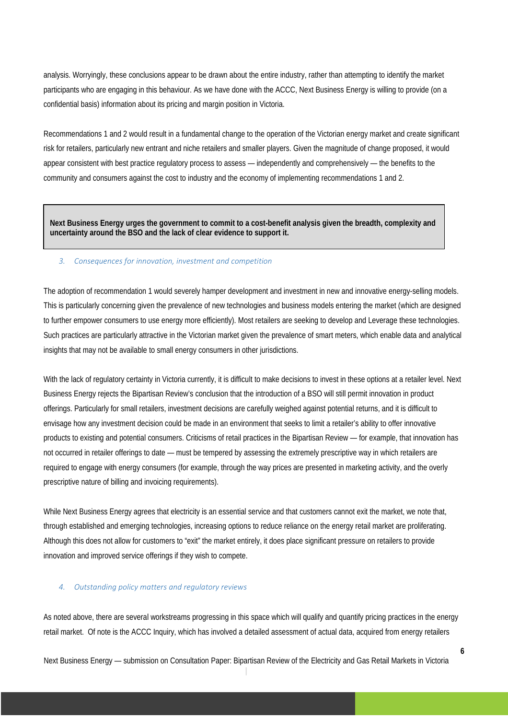analysis. Worryingly, these conclusions appear to be drawn about the entire industry, rather than attempting to identify the market participants who are engaging in this behaviour. As we have done with the ACCC, Next Business Energy is willing to provide (on a confidential basis) information about its pricing and margin position in Victoria.

Recommendations 1 and 2 would result in a fundamental change to the operation of the Victorian energy market and create significant risk for retailers, particularly new entrant and niche retailers and smaller players. Given the magnitude of change proposed, it would appear consistent with best practice regulatory process to assess — independently and comprehensively — the benefits to the community and consumers against the cost to industry and the economy of implementing recommendations 1 and 2.

**Next Business Energy urges the government to commit to a cost-benefit analysis given the breadth, complexity and uncertainty around the BSO and the lack of clear evidence to support it.** 

### *3. Consequences for innovation, investment and competition*

The adoption of recommendation 1 would severely hamper development and investment in new and innovative energy-selling models. This is particularly concerning given the prevalence of new technologies and business models entering the market (which are designed to further empower consumers to use energy more efficiently). Most retailers are seeking to develop and Leverage these technologies. Such practices are particularly attractive in the Victorian market given the prevalence of smart meters, which enable data and analytical insights that may not be available to small energy consumers in other jurisdictions.

With the lack of regulatory certainty in Victoria currently, it is difficult to make decisions to invest in these options at a retailer level. Next Business Energy rejects the Bipartisan Review's conclusion that the introduction of a BSO will still permit innovation in product offerings. Particularly for small retailers, investment decisions are carefully weighed against potential returns, and it is difficult to envisage how any investment decision could be made in an environment that seeks to limit a retailer's ability to offer innovative products to existing and potential consumers. Criticisms of retail practices in the Bipartisan Review — for example, that innovation has not occurred in retailer offerings to date — must be tempered by assessing the extremely prescriptive way in which retailers are required to engage with energy consumers (for example, through the way prices are presented in marketing activity, and the overly prescriptive nature of billing and invoicing requirements).

While Next Business Energy agrees that electricity is an essential service and that customers cannot exit the market, we note that, through established and emerging technologies, increasing options to reduce reliance on the energy retail market are proliferating. Although this does not allow for customers to "exit" the market entirely, it does place significant pressure on retailers to provide innovation and improved service offerings if they wish to compete.

## *4. Outstanding policy matters and regulatory reviews*

As noted above, there are several workstreams progressing in this space which will qualify and quantify pricing practices in the energy retail market. Of note is the ACCC Inquiry, which has involved a detailed assessment of actual data, acquired from energy retailers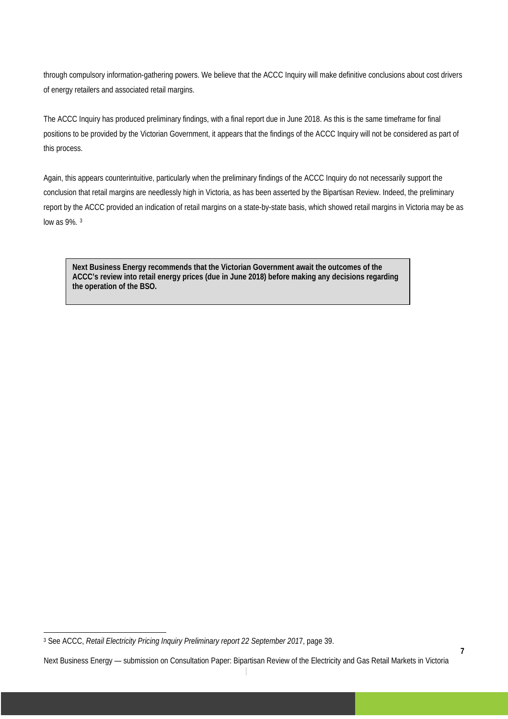through compulsory information-gathering powers. We believe that the ACCC Inquiry will make definitive conclusions about cost drivers of energy retailers and associated retail margins.

The ACCC Inquiry has produced preliminary findings, with a final report due in June 2018. As this is the same timeframe for final positions to be provided by the Victorian Government, it appears that the findings of the ACCC Inquiry will not be considered as part of this process.

Again, this appears counterintuitive, particularly when the preliminary findings of the ACCC Inquiry do not necessarily support the conclusion that retail margins are needlessly high in Victoria, as has been asserted by the Bipartisan Review. Indeed, the preliminary report by the ACCC provided an indication of retail margins on a state-by-state basis, which showed retail margins in Victoria may be as low as 9%. [3](#page-6-0)

**Next Business Energy recommends that the Victorian Government await the outcomes of the ACCC's review into retail energy prices (due in June 2018) before making any decisions regarding the operation of the BSO.** 

<span id="page-6-0"></span> <sup>3</sup> See ACCC, *Retail Electricity Pricing Inquiry Preliminary report 22 September 201*7, page 39.

Next Business Energy — submission on Consultation Paper: Bipartisan Review of the Electricity and Gas Retail Markets in Victoria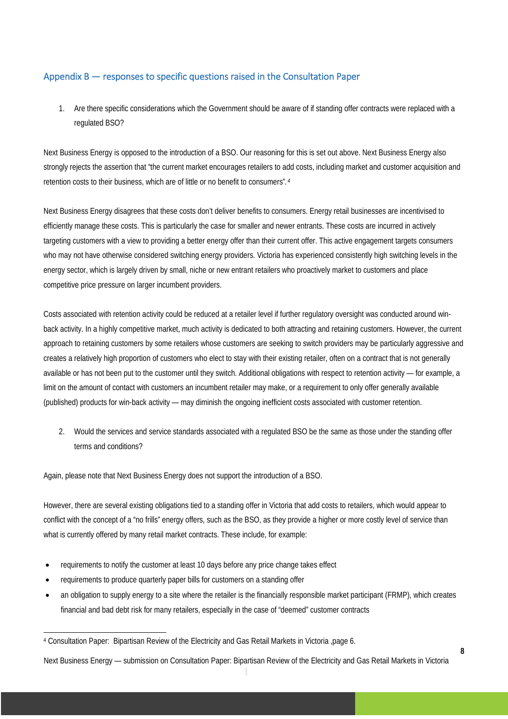# Appendix B — responses to specific questions raised in the Consultation Paper

1. Are there specific considerations which the Government should be aware of if standing offer contracts were replaced with a regulated BSO?

Next Business Energy is opposed to the introduction of a BSO. Our reasoning for this is set out above. Next Business Energy also strongly rejects the assertion that "the current market encourages retailers to add costs, including market and customer acquisition and retention costs to their business, which are of little or no benefit to consumers"*.[4](#page-7-0)*

Next Business Energy disagrees that these costs don't deliver benefits to consumers. Energy retail businesses are incentivised to efficiently manage these costs. This is particularly the case for smaller and newer entrants. These costs are incurred in actively targeting customers with a view to providing a better energy offer than their current offer. This active engagement targets consumers who may not have otherwise considered switching energy providers. Victoria has experienced consistently high switching levels in the energy sector, which is largely driven by small, niche or new entrant retailers who proactively market to customers and place competitive price pressure on larger incumbent providers.

Costs associated with retention activity could be reduced at a retailer level if further regulatory oversight was conducted around winback activity. In a highly competitive market, much activity is dedicated to both attracting and retaining customers. However, the current approach to retaining customers by some retailers whose customers are seeking to switch providers may be particularly aggressive and creates a relatively high proportion of customers who elect to stay with their existing retailer, often on a contract that is not generally available or has not been put to the customer until they switch. Additional obligations with respect to retention activity — for example, a limit on the amount of contact with customers an incumbent retailer may make, or a requirement to only offer generally available (published) products for win-back activity — may diminish the ongoing inefficient costs associated with customer retention.

2. Would the services and service standards associated with a regulated BSO be the same as those under the standing offer terms and conditions?

Again, please note that Next Business Energy does not support the introduction of a BSO.

However, there are several existing obligations tied to a standing offer in Victoria that add costs to retailers, which would appear to conflict with the concept of a "no frills" energy offers, such as the BSO, as they provide a higher or more costly level of service than what is currently offered by many retail market contracts. These include, for example:

- requirements to notify the customer at least 10 days before any price change takes effect
- requirements to produce quarterly paper bills for customers on a standing offer
- an obligation to supply energy to a site where the retailer is the financially responsible market participant (FRMP), which creates financial and bad debt risk for many retailers, especially in the case of "deemed" customer contracts

<span id="page-7-0"></span> <sup>4</sup> Consultation Paper: Bipartisan Review of the Electricity and Gas Retail Markets in Victoria ,page 6.

Next Business Energy — submission on Consultation Paper: Bipartisan Review of the Electricity and Gas Retail Markets in Victoria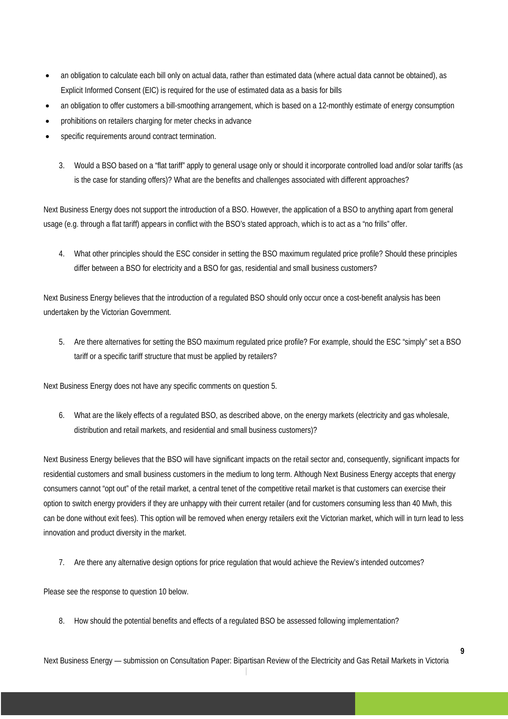- an obligation to calculate each bill only on actual data, rather than estimated data (where actual data cannot be obtained), as Explicit Informed Consent (EIC) is required for the use of estimated data as a basis for bills
- an obligation to offer customers a bill-smoothing arrangement, which is based on a 12-monthly estimate of energy consumption
- prohibitions on retailers charging for meter checks in advance
- specific requirements around contract termination.
	- 3. Would a BSO based on a "flat tariff" apply to general usage only or should it incorporate controlled load and/or solar tariffs (as is the case for standing offers)? What are the benefits and challenges associated with different approaches?

Next Business Energy does not support the introduction of a BSO. However, the application of a BSO to anything apart from general usage (e.g. through a flat tariff) appears in conflict with the BSO's stated approach, which is to act as a "no frills" offer.

4. What other principles should the ESC consider in setting the BSO maximum regulated price profile? Should these principles differ between a BSO for electricity and a BSO for gas, residential and small business customers?

Next Business Energy believes that the introduction of a regulated BSO should only occur once a cost-benefit analysis has been undertaken by the Victorian Government.

5. Are there alternatives for setting the BSO maximum regulated price profile? For example, should the ESC "simply" set a BSO tariff or a specific tariff structure that must be applied by retailers?

Next Business Energy does not have any specific comments on question 5.

6. What are the likely effects of a regulated BSO, as described above, on the energy markets (electricity and gas wholesale, distribution and retail markets, and residential and small business customers)?

Next Business Energy believes that the BSO will have significant impacts on the retail sector and, consequently, significant impacts for residential customers and small business customers in the medium to long term. Although Next Business Energy accepts that energy consumers cannot "opt out" of the retail market, a central tenet of the competitive retail market is that customers can exercise their option to switch energy providers if they are unhappy with their current retailer (and for customers consuming less than 40 Mwh, this can be done without exit fees). This option will be removed when energy retailers exit the Victorian market, which will in turn lead to less innovation and product diversity in the market.

7. Are there any alternative design options for price regulation that would achieve the Review's intended outcomes?

Please see the response to question 10 below.

8. How should the potential benefits and effects of a regulated BSO be assessed following implementation?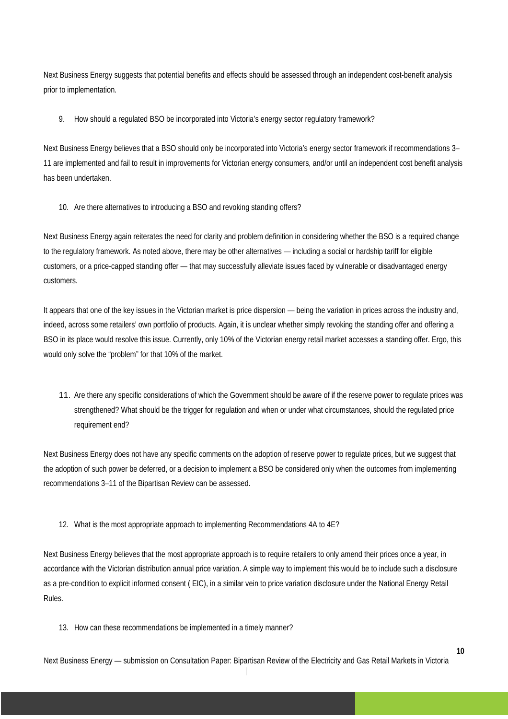Next Business Energy suggests that potential benefits and effects should be assessed through an independent cost-benefit analysis prior to implementation.

9. How should a regulated BSO be incorporated into Victoria's energy sector regulatory framework?

Next Business Energy believes that a BSO should only be incorporated into Victoria's energy sector framework if recommendations 3– 11 are implemented and fail to result in improvements for Victorian energy consumers, and/or until an independent cost benefit analysis has been undertaken.

10. Are there alternatives to introducing a BSO and revoking standing offers?

Next Business Energy again reiterates the need for clarity and problem definition in considering whether the BSO is a required change to the regulatory framework. As noted above, there may be other alternatives — including a social or hardship tariff for eligible customers, or a price-capped standing offer — that may successfully alleviate issues faced by vulnerable or disadvantaged energy customers.

It appears that one of the key issues in the Victorian market is price dispersion — being the variation in prices across the industry and, indeed, across some retailers' own portfolio of products. Again, it is unclear whether simply revoking the standing offer and offering a BSO in its place would resolve this issue. Currently, only 10% of the Victorian energy retail market accesses a standing offer. Ergo, this would only solve the "problem" for that 10% of the market.

11. Are there any specific considerations of which the Government should be aware of if the reserve power to regulate prices was strengthened? What should be the trigger for regulation and when or under what circumstances, should the regulated price requirement end?

Next Business Energy does not have any specific comments on the adoption of reserve power to regulate prices, but we suggest that the adoption of such power be deferred, or a decision to implement a BSO be considered only when the outcomes from implementing recommendations 3–11 of the Bipartisan Review can be assessed.

12. What is the most appropriate approach to implementing Recommendations 4A to 4E?

Next Business Energy believes that the most appropriate approach is to require retailers to only amend their prices once a year, in accordance with the Victorian distribution annual price variation. A simple way to implement this would be to include such a disclosure as a pre-condition to explicit informed consent ( EIC), in a similar vein to price variation disclosure under the National Energy Retail Rules.

13. How can these recommendations be implemented in a timely manner?